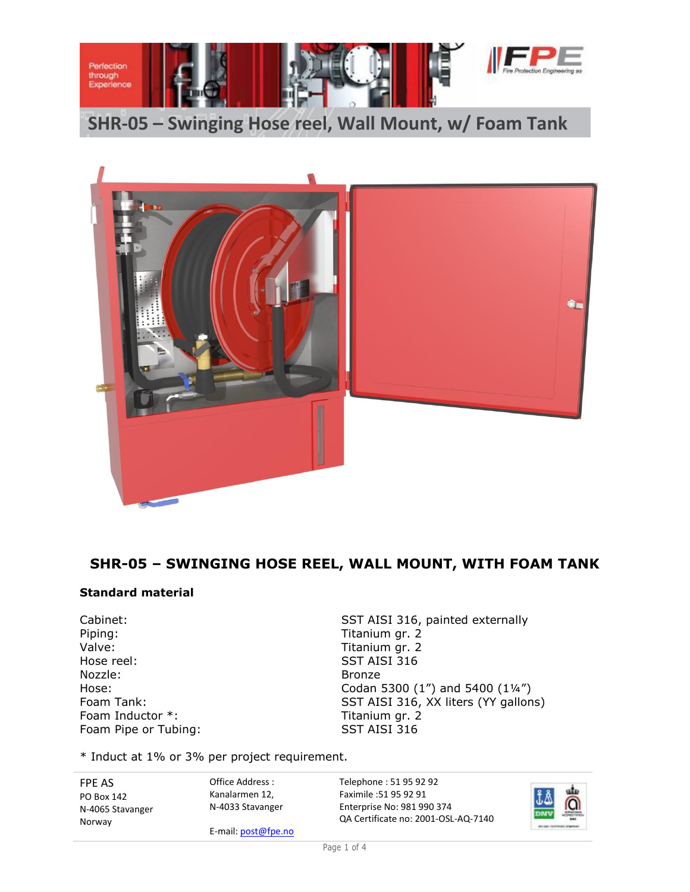

**SHR-05 – Swinging Hose reel, Wall Mount, w/ Foam Tank**



### **SHR-05 – SWINGING HOSE REEL, WALL MOUNT, WITH FOAM TANK**

#### **Standard material**

Piping: Titanium gr. 2 Valve: Valve: Titanium gr. 2 Hose reel: SST AISI 316 Nozzle: Bronze Foam Inductor \*: Titanium gr. 2 Foam Pipe or Tubing: SST AISI 316

Cabinet: Cabinet: SST AISI 316, painted externally Hose: Codan 5300 (1") and 5400 (1¼") Foam Tank: SST AISI 316, XX liters (YY gallons)

\* Induct at 1% or 3% per project requirement.

FPE AS PO Box 142 N-4065 Stavanger Norway

Kanalarmen 12, N-4033 Stavanger

E-mail: post@fpe.no

Office Address :

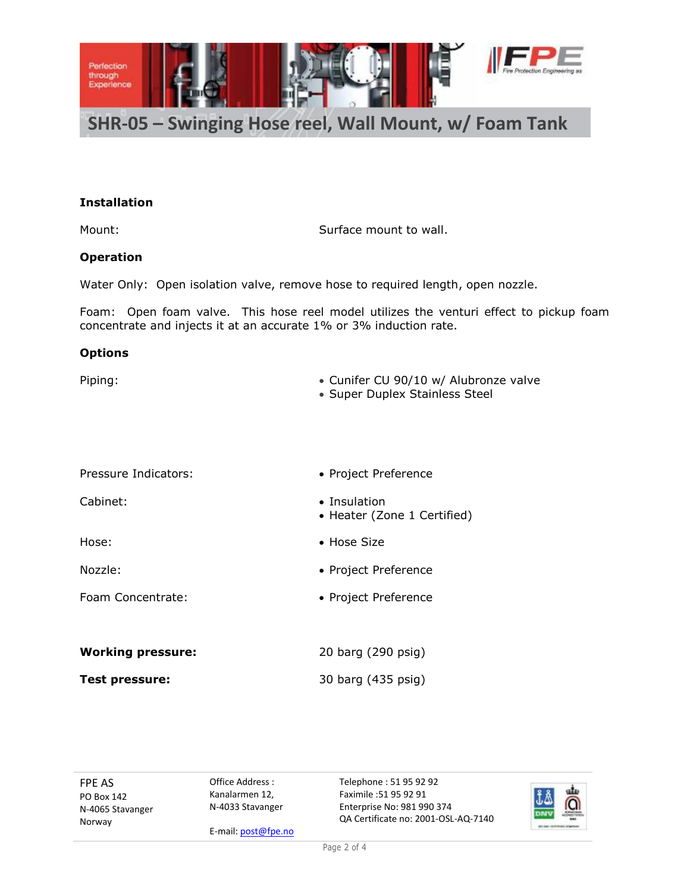

## **SHR-05 – Swinging Hose reel, Wall Mount, w/ Foam Tank**

#### **Installation**

Mount: Mount: Surface mount to wall.

#### **Operation**

Water Only: Open isolation valve, remove hose to required length, open nozzle.

Foam: Open foam valve. This hose reel model utilizes the venturi effect to pickup foam concentrate and injects it at an accurate 1% or 3% induction rate.

#### **Options**

| Piping: | • Cunifer CU 90/10 w/ Alubronze valve<br>• Super Duplex Stainless Steel |
|---------|-------------------------------------------------------------------------|
|         |                                                                         |

| Pressure Indicators:     | • Project Preference                        |
|--------------------------|---------------------------------------------|
| Cabinet:                 | • Insulation<br>• Heater (Zone 1 Certified) |
| Hose:                    | $\bullet$ Hose Size                         |
| Nozzle:                  | • Project Preference                        |
| Foam Concentrate:        | • Project Preference                        |
|                          |                                             |
| <b>Working pressure:</b> | 20 barg (290 psig)                          |
| Test pressure:           | 30 barg (435 psig)                          |

FPE AS PO Box 142 N-4065 Stavanger Norway

Office Address : Kanalarmen 12, N-4033 Stavanger

E-mail: post@fpe.no

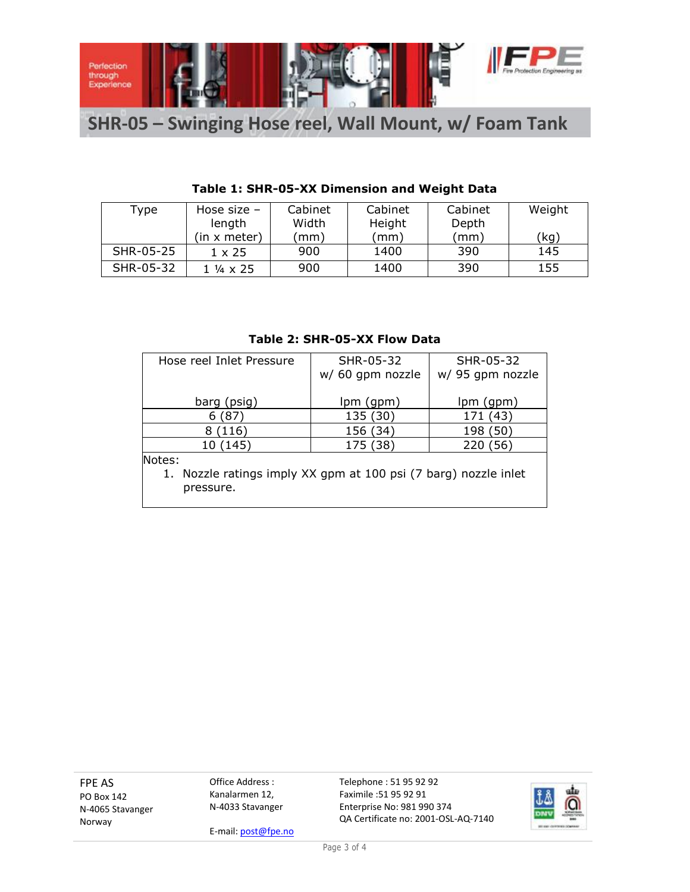

# **SHR-05 – Swinging Hose reel, Wall Mount, w/ Foam Tank**

| Type      | Hose size $-$ | Cabinet | Cabinet       | Cabinet | Weight |
|-----------|---------------|---------|---------------|---------|--------|
|           | length        | Width   | Height        | Depth   |        |
|           | (in x meter)  | mm)     | $\text{mm}$ ) | (mm)    | (kg)   |
| SHR-05-25 | $1 \times 25$ | 900     | 1400          | 390     | 145    |
| SHR-05-32 | 1 ¼ x 25      | 900     | 1400          | 390     | 155    |

### **Table 1: SHR-05-XX Dimension and Weight Data**

#### **Table 2: SHR-05-XX Flow Data**

| Hose reel Inlet Pressure                                        | SHR-05-32        | SHR-05-32        |  |  |  |  |
|-----------------------------------------------------------------|------------------|------------------|--|--|--|--|
|                                                                 | w/ 60 gpm nozzle | w/ 95 gpm nozzle |  |  |  |  |
|                                                                 |                  |                  |  |  |  |  |
| barg (psig)                                                     | $lpm($ gpm $)$   | lpm (gpm)        |  |  |  |  |
| (87)<br>6                                                       | 135 (30)         | 171 (43)         |  |  |  |  |
| (116)<br>8                                                      | 156 (34)         | 198 (50)         |  |  |  |  |
| 10 (145)                                                        | 175 (38)         | 220 (56)         |  |  |  |  |
| Notes:                                                          |                  |                  |  |  |  |  |
| 1. Nozzle ratings imply XX gpm at 100 psi (7 barg) nozzle inlet |                  |                  |  |  |  |  |
| pressure.                                                       |                  |                  |  |  |  |  |
|                                                                 |                  |                  |  |  |  |  |

FPE AS PO Box 142 N-4065 Stavanger Norway

Office Address : Kanalarmen 12, N-4033 Stavanger